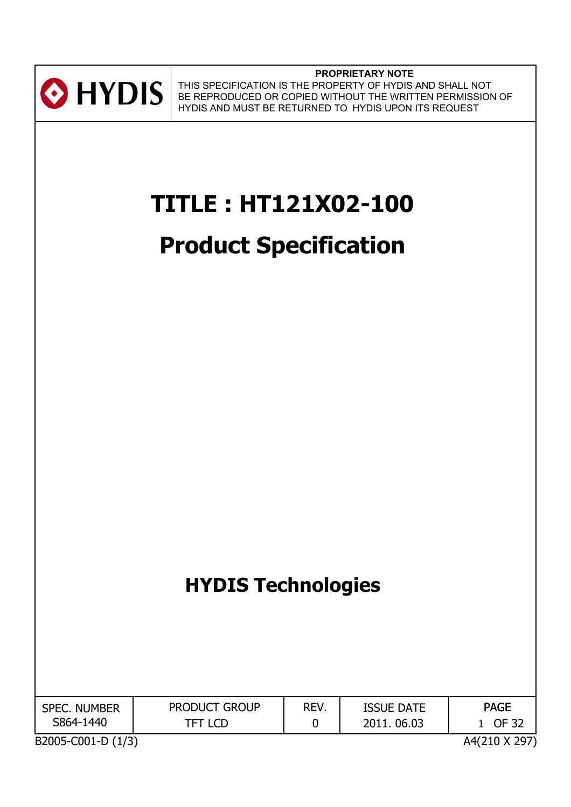

**PROPRIETARY NOTE** THIS SPECIFICATION IS THE PROPERTY OF HYDIS AND SHALL NOT BE REPRODUCED OR COPIED WITHOUT THE WRITTEN PERMISSION OF HYDIS AND MUST BE RETURNED TO HYDIS UPON ITS REQUEST

# **TITLE : HT121X02-100**

# **Product Specification**

# **HYDIS Technologies**

| <b>SPEC. NUMBER</b> | <b>PRODUCT GROUP</b> | REV. | <b>ISSUE DATE</b> | <b>PAGE</b> |  |
|---------------------|----------------------|------|-------------------|-------------|--|
| S864-1440           | TFT LCD              |      | 2011.06.03        | OF 32       |  |
| $\overline{a}$      |                      |      |                   |             |  |

B2005-C001-D (1/3)

A4(210 X 297)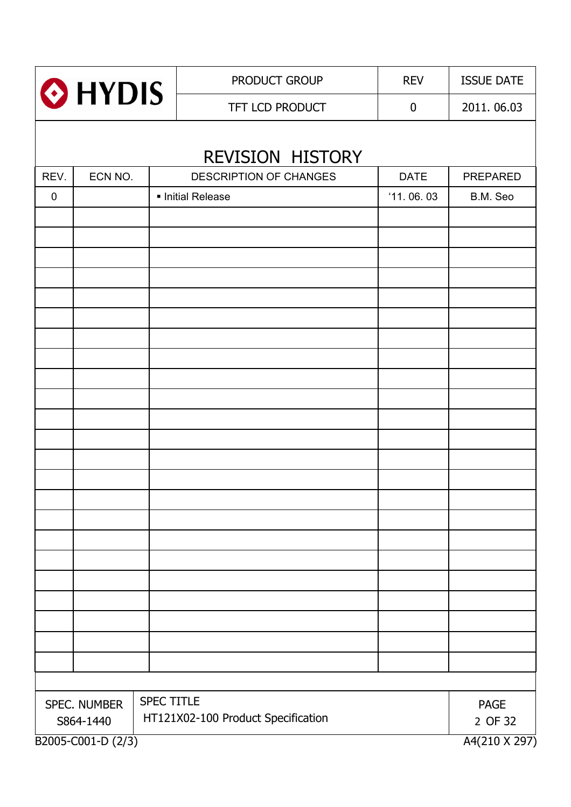| HYDIS       |                                     |                   | PRODUCT GROUP                      | <b>REV</b>       | <b>ISSUE DATE</b>      |
|-------------|-------------------------------------|-------------------|------------------------------------|------------------|------------------------|
|             |                                     |                   | TFT LCD PRODUCT                    | $\boldsymbol{0}$ | 2011.06.03             |
|             |                                     |                   | REVISION HISTORY                   |                  |                        |
| REV.        | ECN NO.                             |                   | DESCRIPTION OF CHANGES             | <b>DATE</b>      | <b>PREPARED</b>        |
| $\mathbf 0$ |                                     |                   | · Initial Release                  | '11.06.03        | B.M. Seo               |
|             |                                     |                   |                                    |                  |                        |
|             |                                     |                   |                                    |                  |                        |
|             |                                     |                   |                                    |                  |                        |
|             |                                     |                   |                                    |                  |                        |
|             |                                     |                   |                                    |                  |                        |
|             |                                     |                   |                                    |                  |                        |
|             |                                     |                   |                                    |                  |                        |
|             |                                     |                   |                                    |                  |                        |
|             |                                     |                   |                                    |                  |                        |
|             |                                     |                   |                                    |                  |                        |
|             |                                     |                   |                                    |                  |                        |
|             |                                     |                   |                                    |                  |                        |
|             |                                     |                   |                                    |                  |                        |
|             |                                     |                   |                                    |                  |                        |
|             |                                     |                   |                                    |                  |                        |
|             |                                     |                   |                                    |                  |                        |
|             |                                     |                   |                                    |                  |                        |
|             |                                     |                   |                                    |                  |                        |
|             |                                     |                   |                                    |                  |                        |
|             |                                     |                   |                                    |                  |                        |
|             |                                     |                   |                                    |                  |                        |
|             |                                     |                   |                                    |                  |                        |
|             |                                     |                   |                                    |                  |                        |
|             |                                     | <b>SPEC TITLE</b> |                                    |                  |                        |
|             | SPEC. NUMBER<br>S864-1440           |                   | HT121X02-100 Product Specification |                  | <b>PAGE</b><br>2 OF 32 |
|             | B2005-C001-D (2/3)<br>A4(210 X 297) |                   |                                    |                  |                        |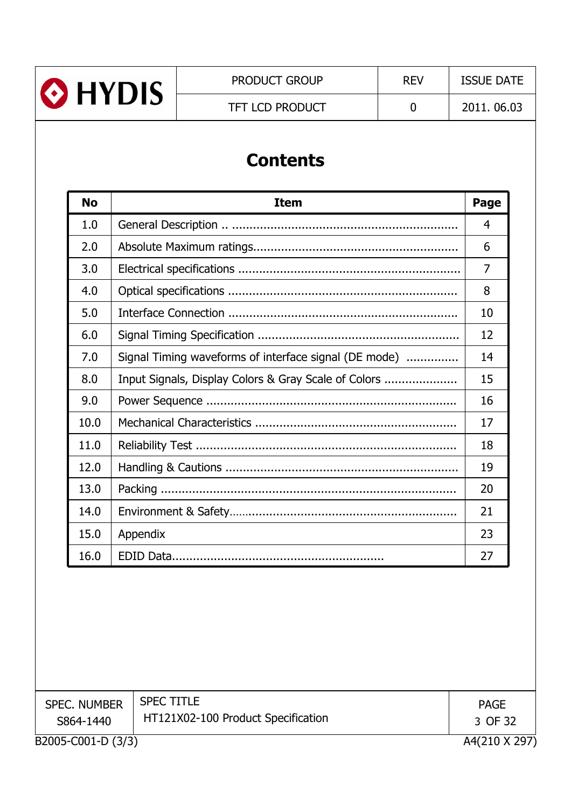

TFT LCD PRODUCT 0 2011. 06.03

# **Contents**

| <b>No</b> | <b>Item</b>                                           | Page |
|-----------|-------------------------------------------------------|------|
| 1.0       |                                                       | 4    |
| 2.0       |                                                       | 6    |
| 3.0       |                                                       | 7    |
| 4.0       |                                                       | 8    |
| 5.0       |                                                       | 10   |
| 6.0       |                                                       | 12   |
| 7.0       | Signal Timing waveforms of interface signal (DE mode) | 14   |
| 8.0       | Input Signals, Display Colors & Gray Scale of Colors  | 15   |
| 9.0       |                                                       | 16   |
| 10.0      |                                                       | 17   |
| 11.0      |                                                       | 18   |
| 12.0      |                                                       | 19   |
| 13.0      |                                                       | 20   |
| 14.0      |                                                       | 21   |
| 15.0      | Appendix                                              | 23   |
| 16.0      |                                                       | 27   |

| <b>SPEC. NUMBER</b><br>S864-1440 | <b>SPEC TITLE</b><br>HT121X02-100 Product Specification | <b>PAGE</b><br>3 OF 32 |
|----------------------------------|---------------------------------------------------------|------------------------|
| B2005-C001-D (3/3)               |                                                         | A4(210 X 297)          |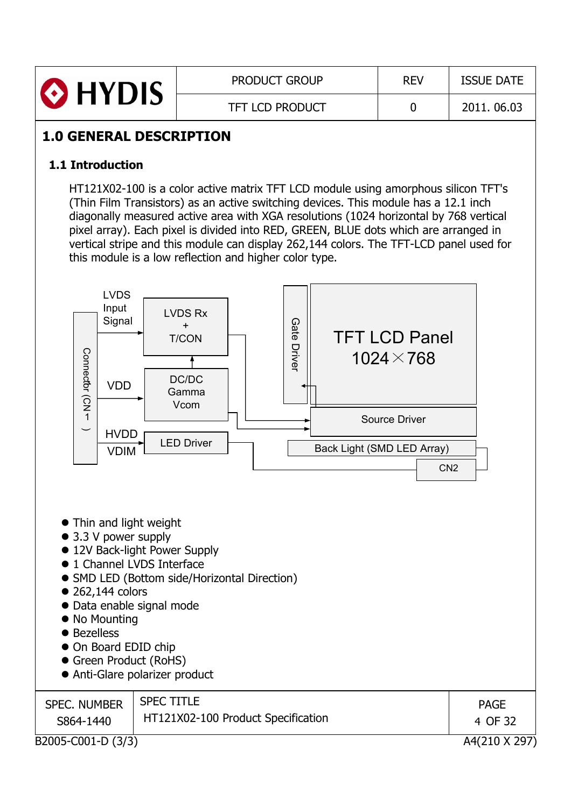| <b>O</b> HYDIS | <b>PRODUCT GROUP</b>   | <b>REV</b> | <b>ISSUE DATE</b> |
|----------------|------------------------|------------|-------------------|
|                | <b>TFT LCD PRODUCT</b> |            | 2011.06.03        |

## **1.0 GENERAL DESCRIPTION**

### **1.1 Introduction**

HT121X02-100 is a color active matrix TFT LCD module using amorphous silicon TFT's (Thin Film Transistors) as an active switching devices. This module has a 12.1 inch diagonally measured active area with XGA resolutions (1024 horizontal by 768 vertical pixel array). Each pixel is divided into RED, GREEN, BLUE dots which are arranged in vertical stripe and this module can display 262,144 colors. The TFT-LCD panel used for this module is a low reflection and higher color type.



B2005-C001-D (3/3) A4(210 X 297)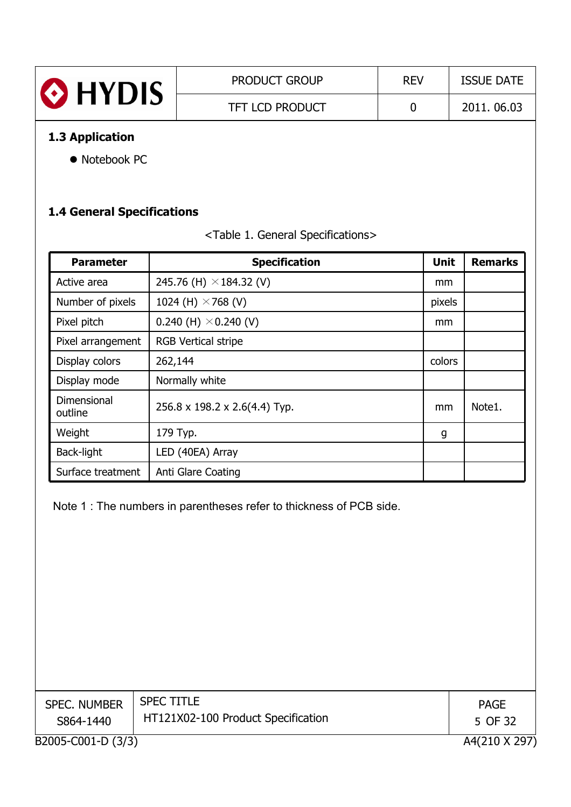| <b>O</b> HYDIS      | <b>PRODUCT GROUP</b>   | <b>REV</b> | <b>ISSUE DATE</b> |
|---------------------|------------------------|------------|-------------------|
|                     | <b>TFT LCD PRODUCT</b> |            | 2011, 06.03       |
| 1.2.4.4.11.4.11.4.4 |                        |            |                   |

### **1.3 Application**

• Notebook PC

## **1.4 General Specifications**

| <table 1.="" general="" specifications=""></table> |
|----------------------------------------------------|
|----------------------------------------------------|

| <b>Parameter</b>       | <b>Specification</b>           | <b>Unit</b> | <b>Remarks</b> |
|------------------------|--------------------------------|-------------|----------------|
| Active area            | 245.76 (H) $\times$ 184.32 (V) | mm          |                |
| Number of pixels       | 1024 (H) $\times$ 768 (V)      | pixels      |                |
| Pixel pitch            | 0.240 (H) $\times$ 0.240 (V)   | mm          |                |
| Pixel arrangement      | <b>RGB Vertical stripe</b>     |             |                |
| Display colors         | 262,144                        | colors      |                |
| Display mode           | Normally white                 |             |                |
| Dimensional<br>outline | 256.8 x 198.2 x 2.6(4.4) Typ.  | mm          | Note1.         |
| Weight                 | 179 Typ.                       | g           |                |
| Back-light             | LED (40EA) Array               |             |                |
| Surface treatment      | Anti Glare Coating             |             |                |

Note 1 : The numbers in parentheses refer to thickness of PCB side.

| <b>SPEC. NUMBER</b><br>S864-1440 | <b>SPEC TITLE</b><br>HT121X02-100 Product Specification | <b>PAGE</b><br>5 OF 32 |
|----------------------------------|---------------------------------------------------------|------------------------|
| B2005-C001-D (3/3)               |                                                         | A4(210 X 297           |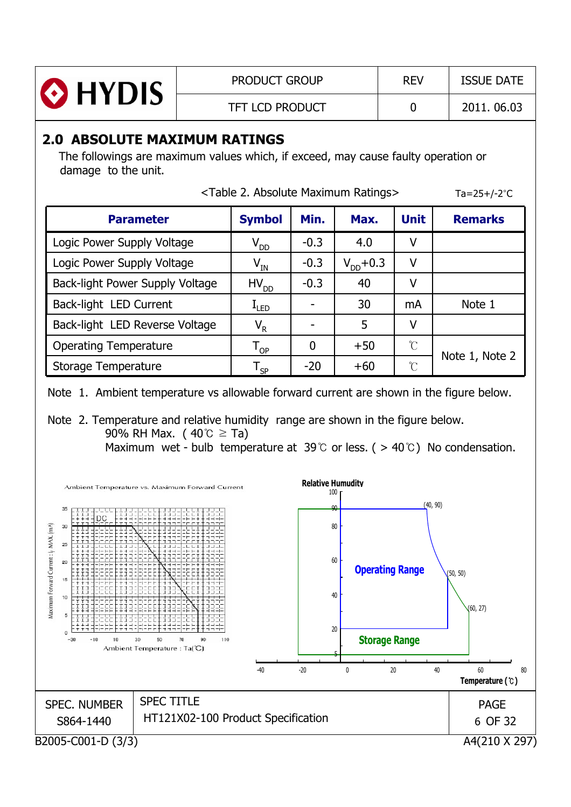| HYDIS | <b>PRODUCT GROUP</b>   | <b>REV</b> | <b>ISSUE DATE</b> |
|-------|------------------------|------------|-------------------|
|       | <b>TFT LCD PRODUCT</b> |            | 2011, 06.03       |

## **2.0 ABSOLUTE MAXIMUM RATINGS**

The followings are maximum values which, if exceed, may cause faulty operation or damage to the unit.

| <table 2.="" absolute="" maximum="" ratings=""></table> | Ta=25+/-2 $^{\circ}$ C     |             |                |                     |                |
|---------------------------------------------------------|----------------------------|-------------|----------------|---------------------|----------------|
| <b>Parameter</b>                                        | <b>Symbol</b>              | Min.        | Max.           | <b>Unit</b>         | <b>Remarks</b> |
| Logic Power Supply Voltage                              | $V_{DD}$                   | $-0.3$      | 4.0            | ۷                   |                |
| Logic Power Supply Voltage                              | $\mathsf{V}_{\mathsf{IN}}$ | $-0.3$      | $V_{DD} + 0.3$ | ۷                   |                |
| Back-light Power Supply Voltage                         | $HV_{DD}$                  | $-0.3$      | 40             | ۷                   |                |
| Back-light LED Current                                  | $I_{LED}$                  |             | 30             | mA                  | Note 1         |
| Back-light LED Reverse Voltage                          | $V_R$                      |             | 5              | ۷                   |                |
| <b>Operating Temperature</b>                            | $T_{OP}$                   | $\mathbf 0$ | $+50$          | $\int_{0}^{\infty}$ |                |
| Storage Temperature                                     | $\mathsf{T}_{\mathsf{SP}}$ | $-20$       | $+60$          | °C                  | Note 1, Note 2 |

Note 1. Ambient temperature vs allowable forward current are shown in the figure below.

Note 2. Temperature and relative humidity range are shown in the figure below. 90% RH Max. ( $40^{\circ}$ C  $\geq$  Ta)

Maximum wet - bulb temperature at 39  $\degree$  or less. ( > 40  $\degree$  ) No condensation.

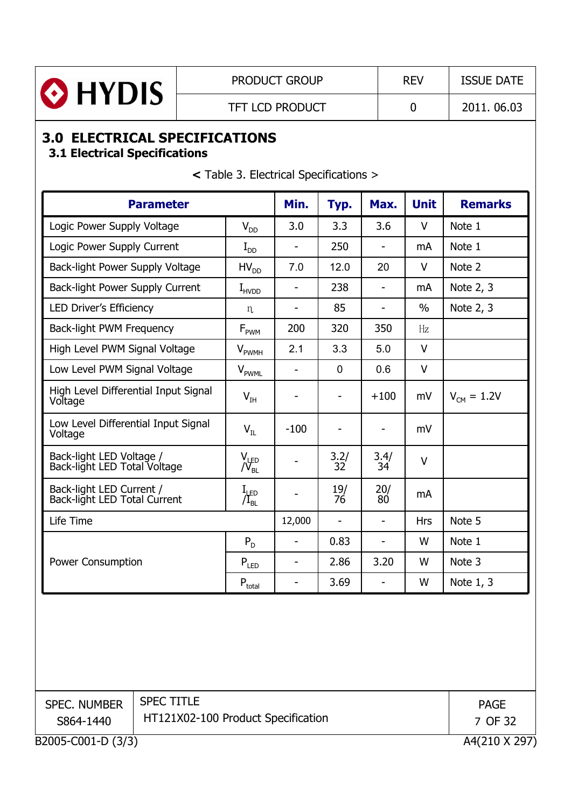

## **3.0 ELECTRICAL SPECIFICATIONS**

## **3.1 Electrical Specifications**

| <b>Parameter</b>                                         |                             |                              | Typ.                     | Max.                     | <b>Unit</b>   | <b>Remarks</b>         |
|----------------------------------------------------------|-----------------------------|------------------------------|--------------------------|--------------------------|---------------|------------------------|
| Logic Power Supply Voltage                               | $V_{DD}$                    | 3.0                          | 3.3                      | 3.6                      | $\vee$        | Note 1                 |
| Logic Power Supply Current                               | $I_{DD}$                    | $\overline{a}$               | 250                      | $\blacksquare$           | mA            | Note 1                 |
| Back-light Power Supply Voltage                          | $HV_{DD}$                   | 7.0                          | 12.0                     | 20                       | $\vee$        | Note 2                 |
| Back-light Power Supply Current                          | $I_{HVDD}$                  | $\blacksquare$               | 238                      | $\overline{\phantom{a}}$ | mA            | Note 2, 3              |
| <b>LED Driver's Efficiency</b>                           | n                           | -                            | 85                       | $\overline{\phantom{a}}$ | $\frac{0}{0}$ | Note 2, 3              |
| Back-light PWM Frequency                                 | $\mathsf{F}_{\mathsf{PWM}}$ | 200                          | 320                      | 350                      | Hz            |                        |
| High Level PWM Signal Voltage                            | $V_{\rm{PWMH}}$             | 2.1                          | 3.3                      | 5.0                      | $\vee$        |                        |
| Low Level PWM Signal Voltage                             | $V_{\text{PWML}}$           | $\blacksquare$               | $\mathbf 0$              | 0.6                      | V             |                        |
| High Level Differential Input Signal<br>Voltage          | $V_{IH}$                    |                              |                          | $+100$                   | mV            | $V_{\text{CM}} = 1.2V$ |
| Low Level Differential Input Signal<br>Voltage           | $V_{IL}$                    | $-100$                       |                          | $\overline{\phantom{a}}$ | mV            |                        |
| Back-light LED Voltage /<br>Back-light LED Total Voltage | $V_{\text{JED}}$            |                              | $\frac{3.2}{32}$         | 3.4/<br>34               | $\vee$        |                        |
| Back-light LED Current /<br>Back-light LED Total Current | $I_{\mu_{BL}}$              |                              | 19/<br>76                | 20/<br>80                | mA            |                        |
| Life Time                                                |                             | 12,000                       | $\overline{\phantom{m}}$ | $\blacksquare$           | <b>Hrs</b>    | Note 5                 |
|                                                          | $P_D$                       |                              | 0.83                     | $\blacksquare$           | W             | Note 1                 |
| Power Consumption                                        | $P_{LED}$                   | $\qquad \qquad \blacksquare$ | 2.86                     | 3.20                     | W             | Note 3                 |
|                                                          | $P_{total}$                 | $\overline{\phantom{a}}$     | 3.69                     | $\overline{\phantom{a}}$ | W             | Note 1, 3              |

**<** Table 3. Electrical Specifications >

| <b>SPEC. NUMBER</b><br>S864-1440 | <b>SPEC TITLE</b><br>HT121X02-100 Product Specification | <b>PAGE</b><br>7 OF 32 |
|----------------------------------|---------------------------------------------------------|------------------------|
| B2005-C001-D (3/3)               |                                                         | A4(210 X 297)          |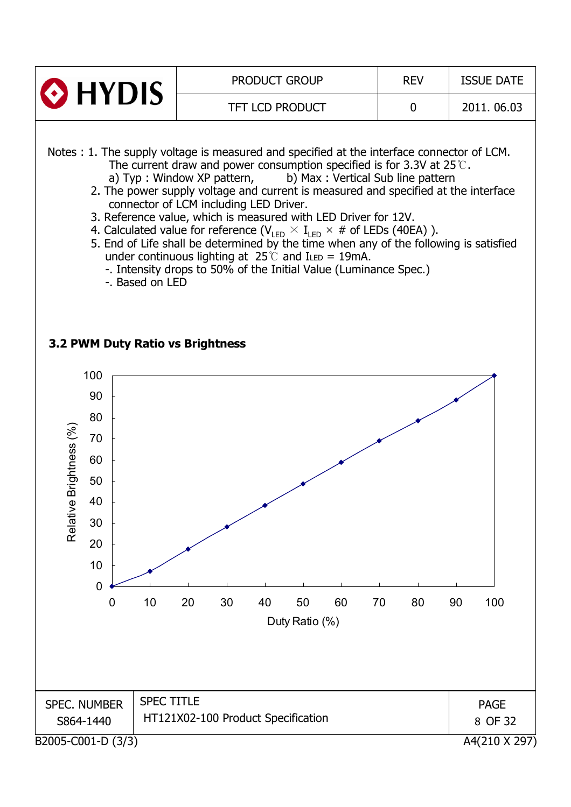

Notes : 1. The supply voltage is measured and specified at the interface connector of LCM. The current draw and power consumption specified is for 3.3V at 25 $\degree$ .

- a) Typ : Window XP pattern, b) Max : Vertical Sub line pattern 2. The power supply voltage and current is measured and specified at the interface
- connector of LCM including LED Driver.
- 3. Reference value, which is measured with LED Driver for 12V.
- 4. Calculated value for reference (V $_{\textsf{LED}}\times\textsf{I}_{\textsf{LED}}\times\textsf{\#}$  of LEDs (40EA) ).
- 5. End of Life shall be determined by the time when any of the following is satisfied under continuous lighting at  $25^{\circ}$  and ILED = 19mA.
	- -. Intensity drops to 50% of the Initial Value (Luminance Spec.)
	- -. Based on LED

#### **3.2 PWM Duty Ratio vs Brightness**

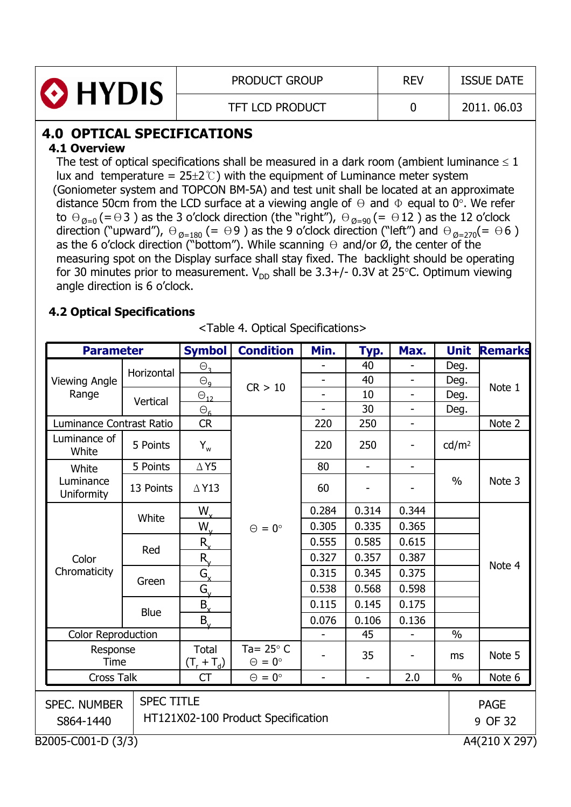

PRODUCT GROUP REV ISSUE DATE

## **4.0 OPTICAL SPECIFICATIONS**

## **4.1 Overview**

The test of optical specifications shall be measured in a dark room (ambient luminance  $\leq 1$ lux and temperature =  $25\pm2$ °C) with the equipment of Luminance meter system (Goniometer system and TOPCON BM-5A) and test unit shall be located at an approximate distance 50cm from the LCD surface at a viewing angle of  $\Theta$  and  $\Phi$  equal to 0°. We refer to  $\Theta_{\emptyset=0}$  (=  $\Theta$ 3) as the 3 o'clock direction (the "right"),  $\Theta_{\emptyset=90}$  (=  $\Theta$ 12) as the 12 o'clock direction ("upward"),  $\Theta_{\emptyset=180}$  (=  $\Theta$ 9) as the 9 o'clock direction ("left") and  $\Theta_{\emptyset=270}$ (=  $\Theta$ 6) as the 6 o'clock direction ("bottom"). While scanning  $\Theta$  and/or Ø, the center of the measuring spot on the Display surface shall stay fixed. The backlight should be operating for 30 minutes prior to measurement.  $V_{DD}$  shall be 3.3+/- 0.3V at 25<sup>o</sup>C. Optimum viewing angle direction is 6 o'clock.

## **4.2 Optical Specifications**

| <b>Parameter</b>                 |                                                         | <b>Symbol</b>         | <b>Condition</b>                         | Min.                     | <u>Тур.</u>              | Max.                     | <b>Unit</b>       | <b>Remarks</b>         |
|----------------------------------|---------------------------------------------------------|-----------------------|------------------------------------------|--------------------------|--------------------------|--------------------------|-------------------|------------------------|
|                                  | Horizontal                                              | $\Theta$ <sub>3</sub> |                                          |                          | 40                       |                          | Deg.              |                        |
| <b>Viewing Angle</b>             |                                                         | $\Theta_{\mathsf{q}}$ | CR > 10                                  | $\overline{a}$           | 40                       | ÷.                       | Deg.              |                        |
| Range                            | Vertical                                                | $\Theta_{12}$         |                                          | $\overline{\phantom{a}}$ | 10                       | $\overline{\phantom{0}}$ | Deg.              | Note 1                 |
|                                  |                                                         | $\Theta_{6}$          |                                          |                          | 30                       |                          | Deg.              |                        |
| Luminance Contrast Ratio         |                                                         | CR                    |                                          | 220                      | 250                      | $\overline{\phantom{a}}$ |                   | Note 2                 |
| Luminance of<br>White            | 5 Points                                                | $Y_{w}$               |                                          | 220                      | 250                      | -                        | cd/m <sup>2</sup> |                        |
| White                            | 5 Points                                                | $\Delta$ Y5           |                                          | 80                       | $\overline{\phantom{0}}$ | $\overline{\phantom{0}}$ |                   |                        |
| Luminance<br><b>Uniformity</b>   | 13 Points                                               | $\triangle$ Y13       |                                          | 60                       |                          |                          | $\frac{0}{0}$     | Note 3                 |
|                                  | White                                                   | $W_{x}$               |                                          | 0.284                    | 0.314                    | 0.344                    |                   |                        |
|                                  |                                                         | $W_{v}$               | $\Theta = 0^{\circ}$                     | 0.305                    | 0.335                    | 0.365                    |                   |                        |
|                                  | Red                                                     | $R_{\rm v}$           |                                          | 0.555                    | 0.585                    | 0.615                    |                   |                        |
| Color                            |                                                         | R                     |                                          | 0.327                    | 0.357                    | 0.387                    |                   |                        |
| Chromaticity                     | Green                                                   | $G_{\mathsf{x}}$      |                                          | 0.315                    | 0.345                    | 0.375                    |                   | Note 4                 |
|                                  |                                                         | $G_{v}$               |                                          | 0.538                    | 0.568                    | 0.598                    |                   |                        |
|                                  |                                                         | $B_{x}$               |                                          | 0.115                    | 0.145                    | 0.175                    |                   |                        |
|                                  | <b>Blue</b>                                             | $B_{v}$               |                                          | 0.076                    | 0.106                    | 0.136                    |                   |                        |
| <b>Color Reproduction</b>        |                                                         |                       |                                          |                          | 45                       |                          | $\frac{0}{0}$     |                        |
|                                  | Response<br>Time                                        |                       | Ta= $25^\circ$ C<br>$\Theta = 0^{\circ}$ |                          | 35                       |                          | ms                | Note 5                 |
|                                  | <b>Cross Talk</b>                                       |                       | $\Theta = 0^{\circ}$                     | $\overline{a}$           | $\bar{\phantom{a}}$      | 2.0                      | $\%$              | Note 6                 |
| <b>SPEC. NUMBER</b><br>S864-1440 | <b>SPEC TITLE</b><br>HT121X02-100 Product Specification |                       |                                          |                          |                          |                          |                   | <b>PAGE</b><br>9 OF 32 |
| B2005-C001-D (3/3)               |                                                         |                       |                                          |                          |                          |                          |                   | A4(210 X 297)          |

<Table 4. Optical Specifications>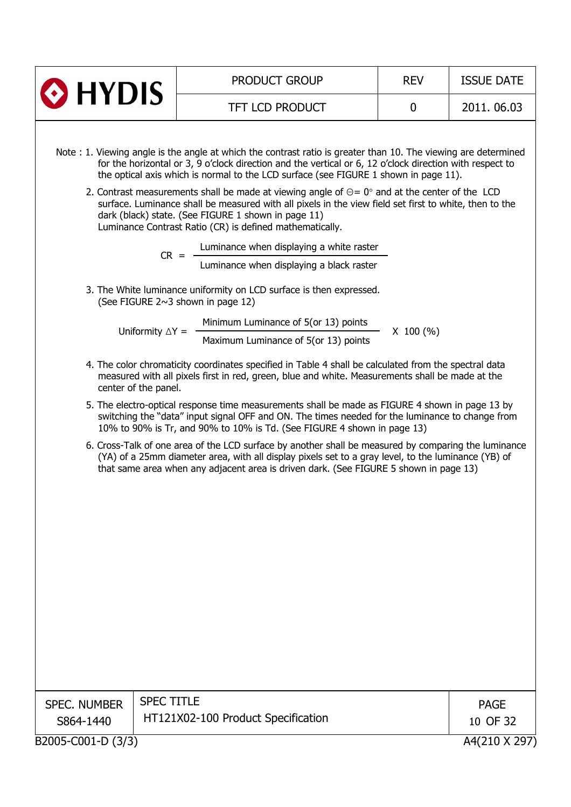|                     |                                                                                | <b>PRODUCT GROUP</b>                                                                                                                                                                                                                                                                                                                                                                                                                                                                                                                                                                                                                                                                                                                                                                                                                                                                                                                                                                                                                                                                                                                                                                                                                                                                                                                                                                                                                                                                                                                                                                                                                                                                                                                                     | <b>REV</b>  | <b>ISSUE DATE</b> |
|---------------------|--------------------------------------------------------------------------------|----------------------------------------------------------------------------------------------------------------------------------------------------------------------------------------------------------------------------------------------------------------------------------------------------------------------------------------------------------------------------------------------------------------------------------------------------------------------------------------------------------------------------------------------------------------------------------------------------------------------------------------------------------------------------------------------------------------------------------------------------------------------------------------------------------------------------------------------------------------------------------------------------------------------------------------------------------------------------------------------------------------------------------------------------------------------------------------------------------------------------------------------------------------------------------------------------------------------------------------------------------------------------------------------------------------------------------------------------------------------------------------------------------------------------------------------------------------------------------------------------------------------------------------------------------------------------------------------------------------------------------------------------------------------------------------------------------------------------------------------------------|-------------|-------------------|
| $\odot$ HYDIS       |                                                                                | <b>TFT LCD PRODUCT</b>                                                                                                                                                                                                                                                                                                                                                                                                                                                                                                                                                                                                                                                                                                                                                                                                                                                                                                                                                                                                                                                                                                                                                                                                                                                                                                                                                                                                                                                                                                                                                                                                                                                                                                                                   | $\mathbf 0$ | 2011, 06.03       |
| <b>SPEC. NUMBER</b> | $CR =$<br>Uniformity $\Delta Y =$<br>center of the panel.<br><b>SPEC TITLE</b> | Note: 1. Viewing angle is the angle at which the contrast ratio is greater than 10. The viewing are determined<br>for the horizontal or 3, 9 o'clock direction and the vertical or 6, 12 o'clock direction with respect to<br>the optical axis which is normal to the LCD surface (see FIGURE 1 shown in page 11).<br>2. Contrast measurements shall be made at viewing angle of $\Theta = 0^{\circ}$ and at the center of the LCD<br>surface. Luminance shall be measured with all pixels in the view field set first to white, then to the<br>dark (black) state. (See FIGURE 1 shown in page 11)<br>Luminance Contrast Ratio (CR) is defined mathematically.<br>Luminance when displaying a white raster<br>Luminance when displaying a black raster<br>3. The White luminance uniformity on LCD surface is then expressed.<br>(See FIGURE 2~3 shown in page 12)<br>Minimum Luminance of 5(or 13) points<br>Maximum Luminance of 5(or 13) points<br>4. The color chromaticity coordinates specified in Table 4 shall be calculated from the spectral data<br>measured with all pixels first in red, green, blue and white. Measurements shall be made at the<br>5. The electro-optical response time measurements shall be made as FIGURE 4 shown in page 13 by<br>switching the "data" input signal OFF and ON. The times needed for the luminance to change from<br>10% to 90% is Tr, and 90% to 10% is Td. (See FIGURE 4 shown in page 13)<br>6. Cross-Talk of one area of the LCD surface by another shall be measured by comparing the luminance<br>(YA) of a 25mm diameter area, with all display pixels set to a gray level, to the luminance (YB) of<br>that same area when any adjacent area is driven dark. (See FIGURE 5 shown in page 13) | $X$ 100 (%) | <b>PAGE</b>       |
| S864-1440           |                                                                                | HT121X02-100 Product Specification                                                                                                                                                                                                                                                                                                                                                                                                                                                                                                                                                                                                                                                                                                                                                                                                                                                                                                                                                                                                                                                                                                                                                                                                                                                                                                                                                                                                                                                                                                                                                                                                                                                                                                                       |             | 10 OF 32          |
| B2005-C001-D (3/3)  |                                                                                |                                                                                                                                                                                                                                                                                                                                                                                                                                                                                                                                                                                                                                                                                                                                                                                                                                                                                                                                                                                                                                                                                                                                                                                                                                                                                                                                                                                                                                                                                                                                                                                                                                                                                                                                                          |             | A4(210 X 297)     |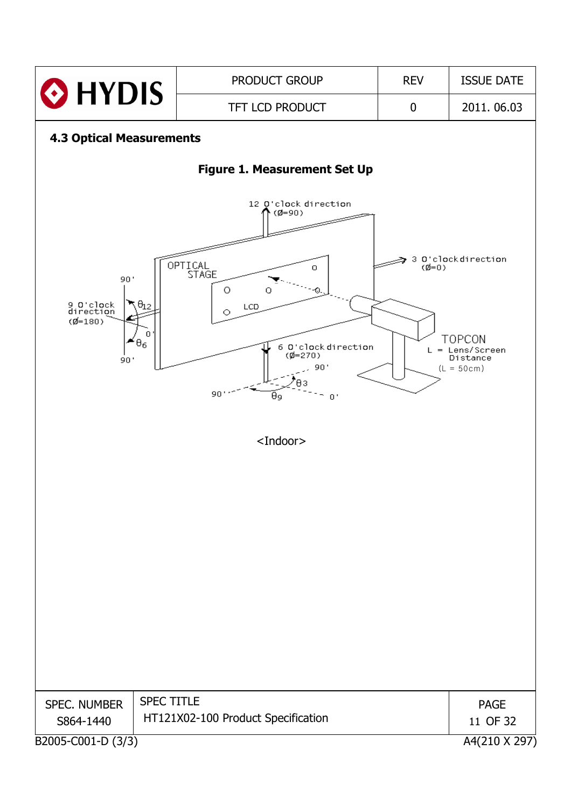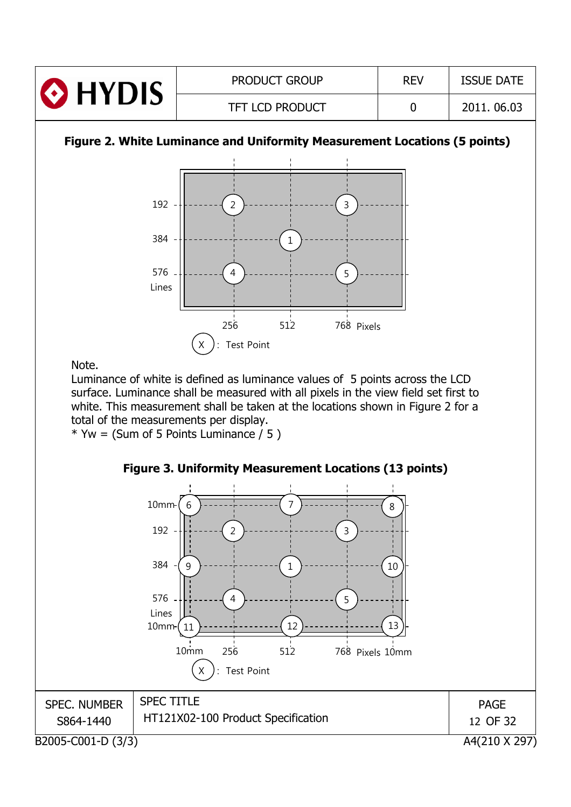| <b>O</b> HYDIS | <b>PRODUCT GROUP</b>   | <b>REV</b> | <b>ISSUE DATE</b> |
|----------------|------------------------|------------|-------------------|
|                | <b>TFT LCD PRODUCT</b> |            | 2011.06.03        |

## **Figure 2. White Luminance and Uniformity Measurement Locations (5 points)**



Note.

Luminance of white is defined as luminance values of 5 points across the LCD surface. Luminance shall be measured with all pixels in the view field set first to white. This measurement shall be taken at the locations shown in Figure 2 for a total of the measurements per display.

 $*$  Yw = (Sum of 5 Points Luminance / 5)

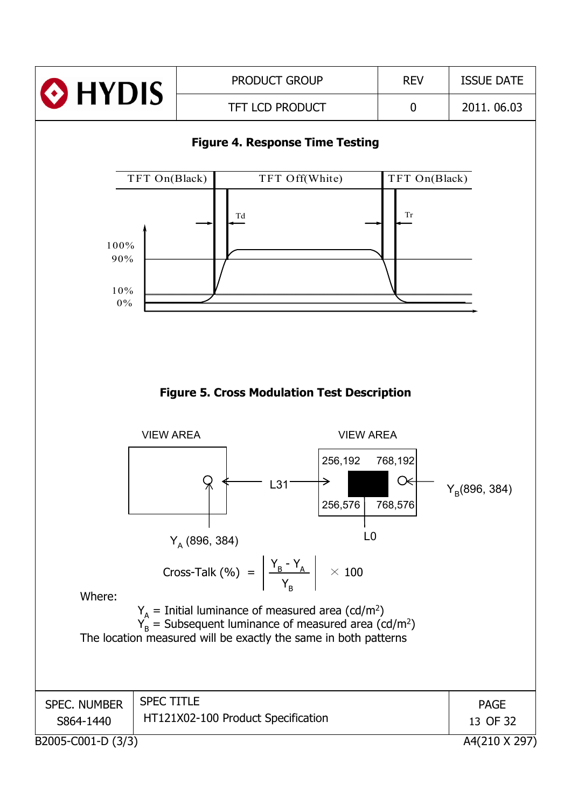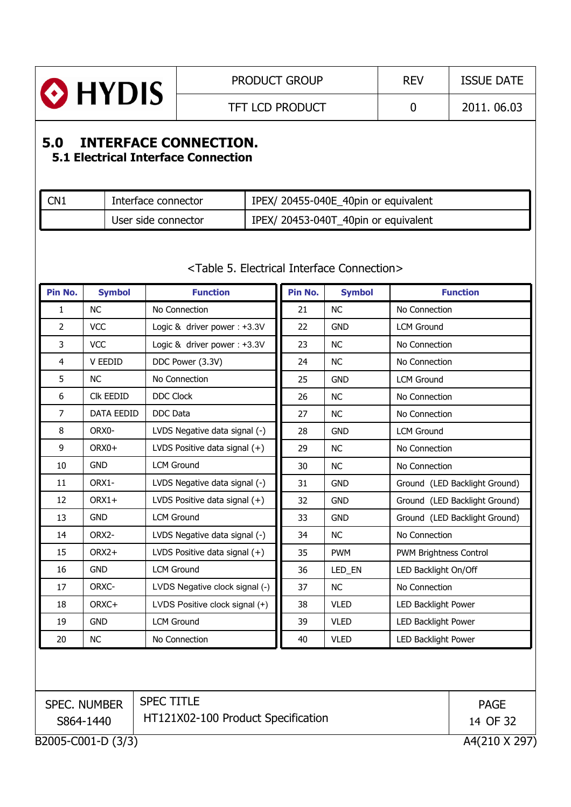

# **5.0 INTERFACE CONNECTION.**

## **5.1 Electrical Interface Connection**

| CN1 | Interface connector | IPEX/ 20455-040E_40pin or equivalent |
|-----|---------------------|--------------------------------------|
|     | User side connector | IPEX/ 20453-040T_40pin or equivalent |

| Pin No.                                         | <b>Symbol</b>                       | <b>Function</b>                 | Pin No. | <b>Symbol</b> |                               | <b>Function</b> |  |
|-------------------------------------------------|-------------------------------------|---------------------------------|---------|---------------|-------------------------------|-----------------|--|
| $\mathbf{1}$                                    | <b>NC</b>                           | No Connection                   | 21      | <b>NC</b>     | No Connection                 |                 |  |
| $\overline{2}$                                  | <b>VCC</b>                          | Logic & driver power: +3.3V     | 22      | <b>GND</b>    | <b>LCM Ground</b>             |                 |  |
| 3                                               | <b>VCC</b>                          | Logic & driver power : +3.3V    | 23      | <b>NC</b>     | No Connection                 |                 |  |
| $\overline{4}$                                  | V EEDID                             | DDC Power (3.3V)                | 24      | <b>NC</b>     | No Connection                 |                 |  |
| 5                                               | <b>NC</b>                           | No Connection                   | 25      | <b>GND</b>    | <b>LCM Ground</b>             |                 |  |
| $\boldsymbol{6}$                                | Clk EEDID                           | <b>DDC Clock</b>                | 26      | <b>NC</b>     | No Connection                 |                 |  |
| $\overline{7}$                                  | <b>DATA EEDID</b>                   | <b>DDC</b> Data                 | 27      | <b>NC</b>     | No Connection                 |                 |  |
| 8                                               | ORX0-                               | LVDS Negative data signal (-)   | 28      | <b>GND</b>    | <b>LCM Ground</b>             |                 |  |
| 9                                               | ORX0+                               | LVDS Positive data signal (+)   | 29      | <b>NC</b>     | No Connection                 |                 |  |
| 10                                              | <b>GND</b>                          | <b>LCM Ground</b>               | 30      | <b>NC</b>     | No Connection                 |                 |  |
| 11                                              | ORX1-                               | LVDS Negative data signal (-)   | 31      | <b>GND</b>    | Ground (LED Backlight Ground) |                 |  |
| 12                                              | ORX1+                               | LVDS Positive data signal $(+)$ | 32      | <b>GND</b>    | Ground (LED Backlight Ground) |                 |  |
| 13                                              | <b>GND</b>                          | <b>LCM Ground</b>               | 33      | <b>GND</b>    | Ground (LED Backlight Ground) |                 |  |
| 14                                              | ORX2-                               | LVDS Negative data signal (-)   | 34      | <b>NC</b>     | No Connection                 |                 |  |
| 15                                              | ORX2+                               | LVDS Positive data signal $(+)$ | 35      | <b>PWM</b>    | PWM Brightness Control        |                 |  |
| 16                                              | <b>GND</b>                          | <b>LCM Ground</b>               | 36      | LED_EN        | LED Backlight On/Off          |                 |  |
| 17                                              | ORXC-                               | LVDS Negative clock signal (-)  | 37      | <b>NC</b>     | No Connection                 |                 |  |
| 18                                              | ORXC+                               | LVDS Positive clock signal (+)  | 38      | <b>VLED</b>   | <b>LED Backlight Power</b>    |                 |  |
| 19                                              | <b>GND</b>                          | <b>LCM Ground</b>               | 39      | <b>VLED</b>   | <b>LED Backlight Power</b>    |                 |  |
| 20                                              | <b>NC</b>                           | No Connection                   | 40      | <b>VLED</b>   | LED Backlight Power           |                 |  |
|                                                 |                                     |                                 |         |               |                               |                 |  |
|                                                 | <b>SPEC. NUMBER</b>                 | <b>SPEC TITLE</b>               |         |               |                               | <b>PAGE</b>     |  |
| HT121X02-100 Product Specification<br>S864-1440 |                                     |                                 |         |               |                               | 14 OF 32        |  |
|                                                 | B2005-C001-D (3/3)<br>A4(210 X 297) |                                 |         |               |                               |                 |  |

#### <Table 5. Electrical Interface Connection>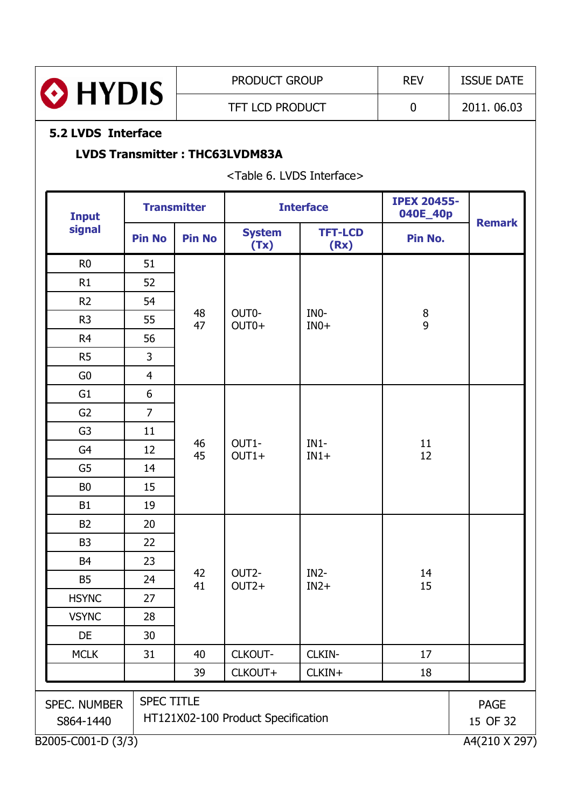

## **5.2 LVDS Interface**

### **LVDS Transmitter : THC63LVDM83A**

<Table 6. LVDS Interface>

| <b>Input</b>                                                                                |                | <b>Transmitter</b> |                               | <b>Interface</b>       |                                       | <b>IPEX 20455-</b>      |
|---------------------------------------------------------------------------------------------|----------------|--------------------|-------------------------------|------------------------|---------------------------------------|-------------------------|
| signal                                                                                      | <b>Pin No</b>  | <b>Pin No</b>      | <b>System</b><br>(Tx)         | <b>TFT-LCD</b><br>(Rx) | Pin No.                               | <b>Remark</b>           |
| R <sub>0</sub>                                                                              | 51             |                    |                               |                        |                                       |                         |
| R1                                                                                          | 52             |                    |                               |                        |                                       |                         |
| R <sub>2</sub>                                                                              | 54             | 48<br>47           |                               |                        |                                       |                         |
| R <sub>3</sub>                                                                              | 55             |                    | OUT0-<br>$OUT0+$              | INO-<br>$IN0+$         | $\begin{array}{c} 8 \\ 9 \end{array}$ |                         |
| R <sub>4</sub>                                                                              | 56             |                    |                               |                        |                                       |                         |
| R <sub>5</sub>                                                                              | 3              |                    |                               |                        |                                       |                         |
| G <sub>0</sub>                                                                              | $\overline{4}$ |                    |                               |                        |                                       |                         |
| G <sub>1</sub>                                                                              | 6              |                    |                               |                        |                                       |                         |
| G <sub>2</sub>                                                                              | $\overline{7}$ |                    |                               |                        |                                       |                         |
| G <sub>3</sub>                                                                              | 11             |                    | 46<br>OUT1-<br>45<br>$OUT1+$  |                        | 11<br>12                              |                         |
| G4                                                                                          | 12             |                    |                               | $IN1-$<br>$IN1+$       |                                       |                         |
| G <sub>5</sub>                                                                              | 14             |                    |                               |                        |                                       |                         |
| B <sub>0</sub>                                                                              | 15             |                    |                               |                        |                                       |                         |
| <b>B1</b>                                                                                   | 19             |                    |                               |                        |                                       |                         |
| <b>B2</b>                                                                                   | 20             |                    |                               |                        |                                       |                         |
| B <sub>3</sub>                                                                              | 22             |                    |                               |                        | 14<br>15                              |                         |
| B <sub>4</sub>                                                                              | 23             |                    |                               |                        |                                       |                         |
| <b>B5</b>                                                                                   | 24             | 42<br>41           | OUT <sub>2</sub> -<br>$OUT2+$ | $IN2-$<br>$IN2+$       |                                       |                         |
| <b>HSYNC</b>                                                                                | 27             |                    |                               |                        |                                       |                         |
| <b>VSYNC</b>                                                                                | 28             |                    |                               |                        |                                       |                         |
| DE                                                                                          | 30             |                    |                               |                        |                                       |                         |
| <b>MCLK</b>                                                                                 | 31             | 40                 | CLKOUT-                       | CLKIN-                 | 17                                    |                         |
|                                                                                             |                | 39                 | CLKOUT+                       | CLKIN+                 | 18                                    |                         |
| <b>SPEC TITLE</b><br><b>SPEC. NUMBER</b><br>HT121X02-100 Product Specification<br>S864-1440 |                |                    |                               |                        |                                       | <b>PAGE</b><br>15 OF 32 |
| B2005-C001-D (3/3)                                                                          |                |                    |                               |                        |                                       | A4(210 X 297)           |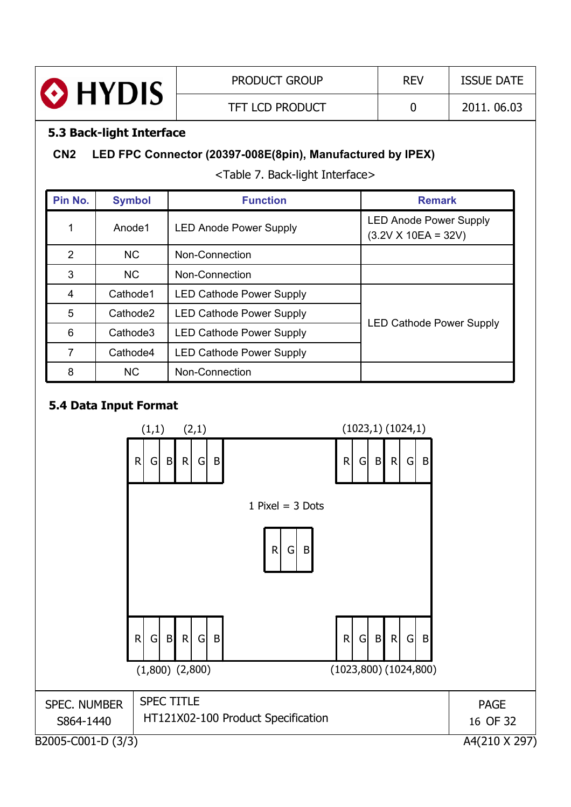

### **5.3 Back-light Interface**

## **CN2 LED FPC Connector (20397-008E(8pin), Manufactured by IPEX)**

<Table 7. Back-light Interface>

| Pin No. | <b>Symbol</b>        | <b>Function</b>                 | <b>Remark</b>                                          |
|---------|----------------------|---------------------------------|--------------------------------------------------------|
|         | Anode1               | <b>LED Anode Power Supply</b>   | <b>LED Anode Power Supply</b><br>$(3.2V X 10EA = 32V)$ |
| 2       | <b>NC</b>            | Non-Connection                  |                                                        |
| 3       | <b>NC</b>            | Non-Connection                  |                                                        |
| 4       | Cathode1             | <b>LED Cathode Power Supply</b> |                                                        |
| 5       | Cathode <sub>2</sub> | <b>LED Cathode Power Supply</b> |                                                        |
| 6       | Cathode3             | <b>LED Cathode Power Supply</b> | <b>LED Cathode Power Supply</b>                        |
| 7       | Cathode4             | <b>LED Cathode Power Supply</b> |                                                        |
| 8       | <b>NC</b>            | Non-Connection                  |                                                        |

## **5.4 Data Input Format**

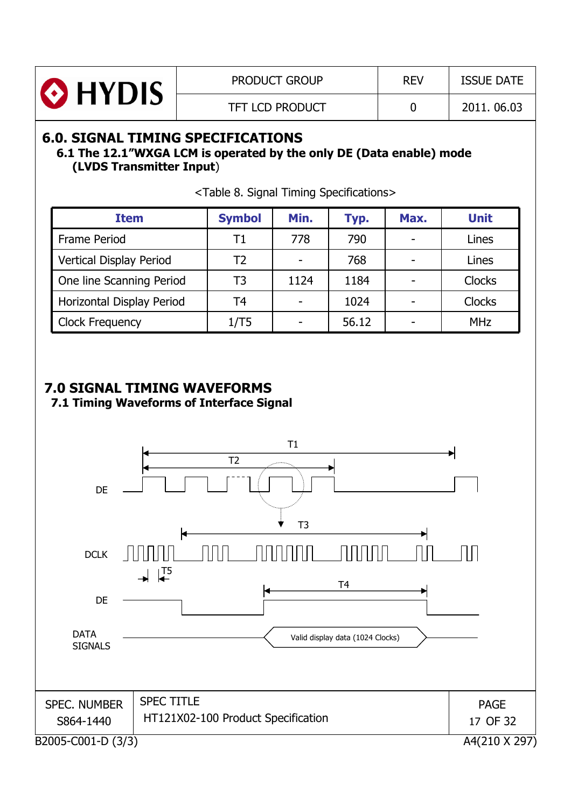

## **6.0. SIGNAL TIMING SPECIFICATIONS**

#### **6.1 The 12.1"WXGA LCM is operated by the only DE (Data enable) mode (LVDS Transmitter Input**)

| <b>Item</b>               | <b>Symbol</b> | Min. | Typ.  | Max. | <b>Unit</b>   |
|---------------------------|---------------|------|-------|------|---------------|
| Frame Period              | Τ1            | 778  | 790   |      | Lines         |
| Vertical Display Period   | Т2            |      | 768   |      | Lines         |
| One line Scanning Period  | T3            | 1124 | 1184  |      | <b>Clocks</b> |
| Horizontal Display Period | T4            |      | 1024  |      | <b>Clocks</b> |
| <b>Clock Frequency</b>    | 1/T5          |      | 56.12 |      | <b>MHz</b>    |

<Table 8. Signal Timing Specifications>

## **7.0 SIGNAL TIMING WAVEFORMS**

**7.1 Timing Waveforms of Interface Signal**

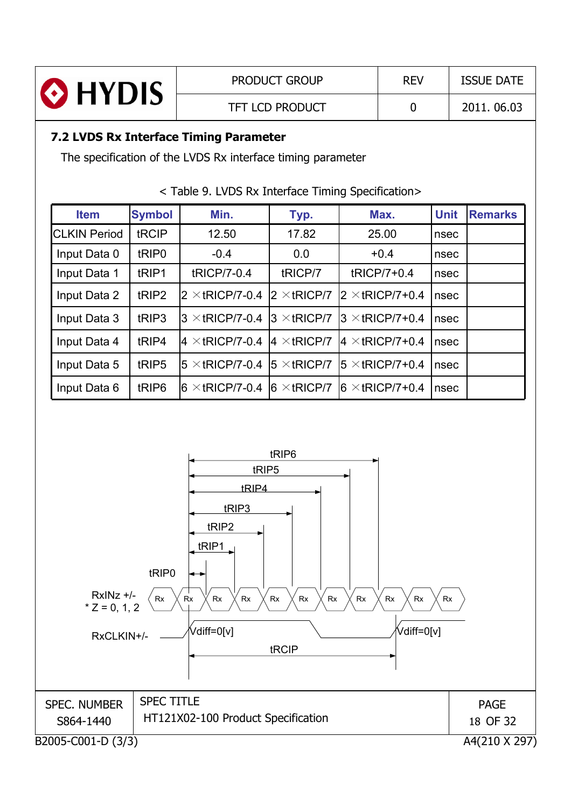|                                                                             |                   | <b>PRODUCT GROUP</b>                                        |                        |  | <b>REV</b>              |             | <b>ISSUE DATE</b> |  |
|-----------------------------------------------------------------------------|-------------------|-------------------------------------------------------------|------------------------|--|-------------------------|-------------|-------------------|--|
| HYDIS &                                                                     |                   |                                                             | <b>TFT LCD PRODUCT</b> |  | $\mathbf 0$             |             | 2011.06.03        |  |
| 7.2 LVDS Rx Interface Timing Parameter                                      |                   |                                                             |                        |  |                         |             |                   |  |
|                                                                             |                   | The specification of the LVDS Rx interface timing parameter |                        |  |                         |             |                   |  |
| <table 9.="" interface="" lvds="" rx="" specification="" timing=""></table> |                   |                                                             |                        |  |                         |             |                   |  |
| <b>Item</b>                                                                 | <b>Symbol</b>     | Min.                                                        | Typ.                   |  | Max.                    | <b>Unit</b> | <b>Remarks</b>    |  |
| <b>CLKIN Period</b>                                                         | tRCIP             | 12.50                                                       | 17.82                  |  | 25.00                   | nsec        |                   |  |
| Input Data 0                                                                | tRIP <sub>0</sub> | $-0.4$                                                      | 0.0                    |  | $+0.4$                  | nsec        |                   |  |
| Input Data 1                                                                | tRIP1             | tRICP/7-0.4                                                 | tRICP/7                |  | tRICP/7+0.4             | nsec        |                   |  |
| Input Data 2                                                                | tRIP2             | $2 \times$ tRICP/7-0.4                                      | $2 \times$ tRICP/7     |  | $2 \times$ tRICP/7+0.4  | nsec        |                   |  |
| Input Data 3                                                                | tRIP3             | $3 \times$ tRICP/7-0.4                                      | $3 \times$ tRICP/7     |  | $3 \times$ tRICP/7+0.4  | nsec        |                   |  |
| Input Data 4                                                                | tRIP4             | $\mathsf{4}\times\mathsf{tRICP}$ /7-0.4                     | $4 \times$ tRICP/7     |  | $4 \times$ tRICP/7+0.4  | nsec        |                   |  |
| Input Data 5                                                                | tRIP5             | $5 \times$ tricp/7-0.4  5 $\times$ tricp/7                  |                        |  | $ 5 \times$ tRICP/7+0.4 | nsec        |                   |  |

Input Data 6 | tRIP6  $\vert 6 \times tRICP/7-0.4 \vert 6 \times tRICP/7 \vert 6 \times tRICP/7+0.4 \vert nsec$ 

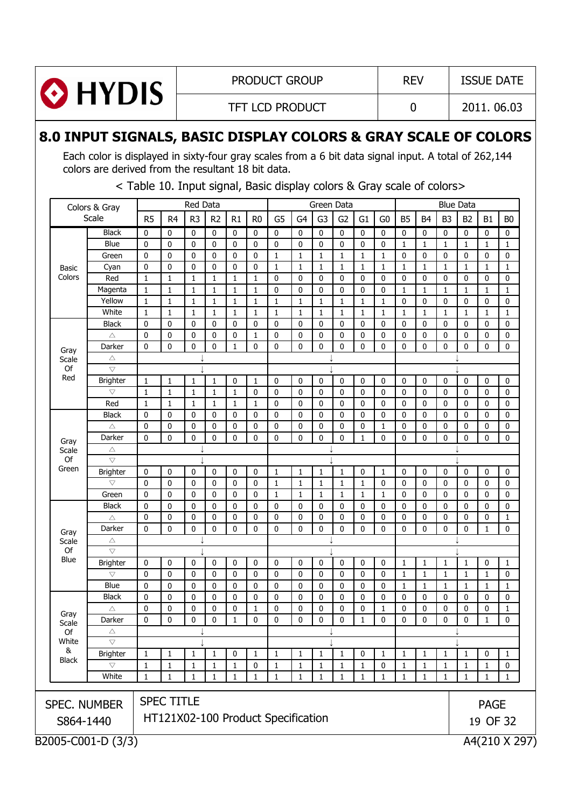

## **8.0 INPUT SIGNALS, BASIC DISPLAY COLORS & GRAY SCALE OF COLORS**

Each color is displayed in sixty-four gray scales from a 6 bit data signal input. A total of 262,144 colors are derived from the resultant 18 bit data.

B2005-C001-D (3/3) A4(210 X 297) SPEC. NUMBER S864-1440 SPEC TITLE HT121X02-100 Product Specification PAGE 19 OF 32 Colors & Gray Scale Red Data **Blue Data** Green Data **Blue Data** R5 | R4 | R3 | R2 | R1 | R0 | G5 | G4 | G3 | G2 | G1 | G0 | B5 | B4 | B3 | B2 | B1 | B0 Basic Colors Black 0 0 00000 00000000000 Blue 0 0 0 0 0 0 0 0 0 0 0 0 0 0 0 0 1 1 1 1 1 1 1 1 1 Green 0 0 00001 11111000000 Cyan 0 0 00001 11111111111 Red |1 |1 |1 |1 |1 |0 |0 |0 |0 |0 |0 |0 |0 |0 |0 |0 |0 Magenta 1 1 11110 00000111111 Yellow 1 1 11111 11111000000 White 1 1 11111 11111111111 Gray Scale Of Red Black 0 0 00000 00000000000 చ 0 0 00010 00000000000 Darker 0 0 00100 00000000000  $\overline{\phantom{a}}$  $\triangledown$  (  $\downarrow$  ) (  $\downarrow$  ) (  $\downarrow$  ) (  $\downarrow$  ) (  $\downarrow$  ) (  $\downarrow$ Brighter 1 1 11010 00000000000 జ 1 1 11100 00000000000 Red |1 |1 |1 |1 |1 |1 |0 |0 |0 |0 |0 |0 |0 |0 |0 |0 |0 |0 Gray Scale Of Green Black 0 0 00000 00000000000 చ 0 0 00000 00001000000 Darker 0 0 00000 00010000000  $\triangle$   $\downarrow$   $\downarrow$   $\downarrow$   $\downarrow$   $\downarrow$   $\downarrow$ ײײ ײ జ Brighter 0 0 00001 11101000000 జ 0 0 00001 11110000000 Green 0 0 00001 11111000000 Gray Scale Of Blue Black 0 0 00000 00000000000 చ 0 0 00000 00000000001 Darker 0 0 00000 00000000010 ײײ ײ చ ײײ ײ జ Brighter 0 0 00000 00000111101  $\triangledown$  0000000000000000111110 Blue 0 0 0 0 0 0 0 0 0 0 0 0 0 0 0 0 1 1 1 1 1 1 1 1 1 Gray Scale Of **White** & Black Black 0 0 00000 00000000000 చ 0 0 00010 00001000001 Darker 0 0 00100 00010000010  $\triangle$   $\downarrow$   $\downarrow$   $\downarrow$   $\downarrow$   $\downarrow$   $\downarrow$  $\forall$   $\downarrow$   $\downarrow$   $\downarrow$   $\downarrow$   $\downarrow$   $\downarrow$   $\downarrow$ Brighter 1 1 11011 11101111101 జ 1 1 11101 11110111110 White 1 1 11111 11111111111

#### < Table 10. Input signal, Basic display colors & Gray scale of colors>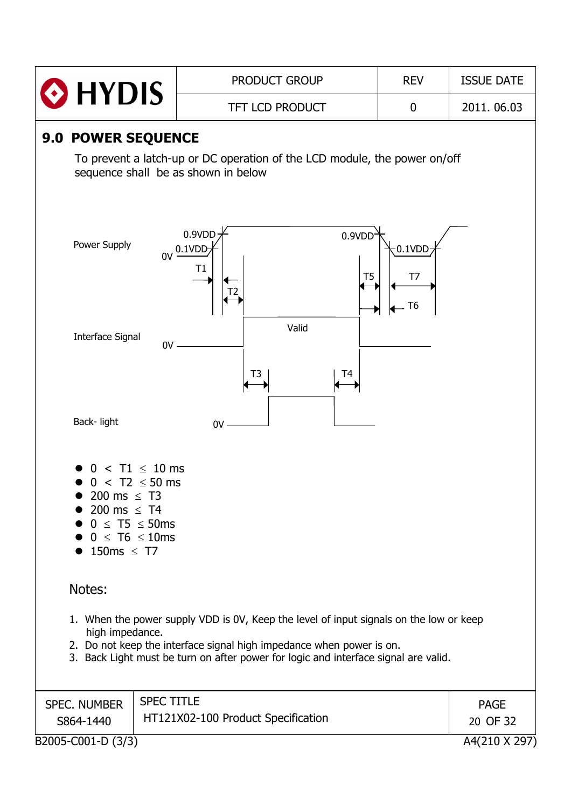|                                                                                                                                                                                                                                                                          |                   | <b>PRODUCT GROUP</b>                                                                                             | <b>REV</b>            | <b>ISSUE DATE</b>       |  |
|--------------------------------------------------------------------------------------------------------------------------------------------------------------------------------------------------------------------------------------------------------------------------|-------------------|------------------------------------------------------------------------------------------------------------------|-----------------------|-------------------------|--|
| <b>HYDIS</b>                                                                                                                                                                                                                                                             |                   | <b>TFT LCD PRODUCT</b>                                                                                           | 0                     | 2011.06.03              |  |
| <b>9.0 POWER SEQUENCE</b>                                                                                                                                                                                                                                                |                   | To prevent a latch-up or DC operation of the LCD module, the power on/off<br>sequence shall be as shown in below |                       |                         |  |
| Power Supply                                                                                                                                                                                                                                                             | 0V                | 0.9VDD<br>0.9VDD<br>0.1VDD<br>Τ1<br>T <sub>5</sub>                                                               | $0.1$ VDD<br>T7<br>T6 |                         |  |
| <b>Interface Signal</b>                                                                                                                                                                                                                                                  | 0V                | Valid<br>T4<br>T3                                                                                                |                       |                         |  |
| Back-light                                                                                                                                                                                                                                                               |                   | $0V$ .                                                                                                           |                       |                         |  |
| $0 < T2 \le 50$ ms<br>200 ms $\leq$ T3<br>200 ms $\leq$ T4<br>$0 \leq T5 \leq 50$ ms<br>$0 \leq T6 \leq 10$ ms<br>150ms $\leq$ T7                                                                                                                                        | $T1 \leq 10$ ms   |                                                                                                                  |                       |                         |  |
| Notes:                                                                                                                                                                                                                                                                   |                   |                                                                                                                  |                       |                         |  |
| 1. When the power supply VDD is 0V, Keep the level of input signals on the low or keep<br>high impedance.<br>2. Do not keep the interface signal high impedance when power is on.<br>3. Back Light must be turn on after power for logic and interface signal are valid. |                   |                                                                                                                  |                       |                         |  |
| <b>SPEC. NUMBER</b><br>S864-1440                                                                                                                                                                                                                                         | <b>SPEC TITLE</b> | HT121X02-100 Product Specification                                                                               |                       | <b>PAGE</b><br>20 OF 32 |  |
| B2005-C001-D (3/3)                                                                                                                                                                                                                                                       |                   |                                                                                                                  |                       | A4(210 X 297)           |  |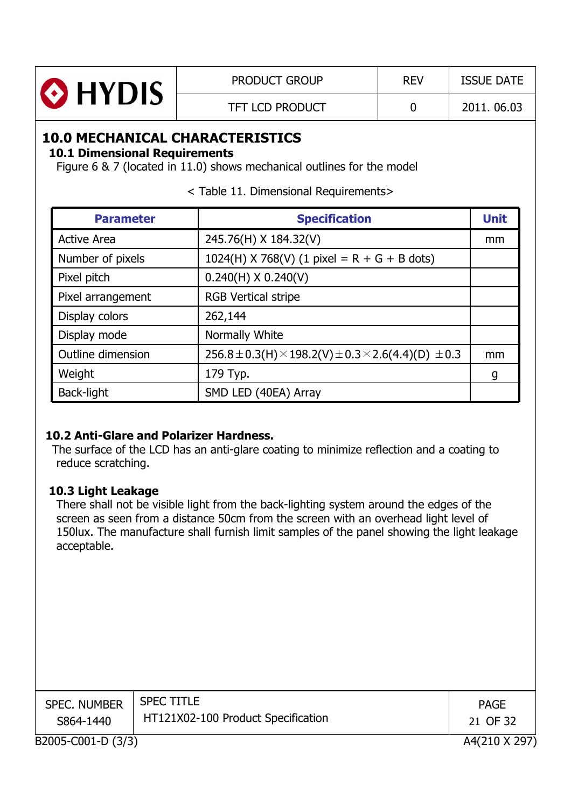| <b>O</b> HYDIS | <b>PRODUCT GROUP</b>   | <b>REV</b> | <b>ISSUE DATE</b> |
|----------------|------------------------|------------|-------------------|
|                | <b>TFT LCD PRODUCT</b> |            | 2011.06.03        |

## **10.0 MECHANICAL CHARACTERISTICS**

**10.1 Dimensional Requirements**

Figure 6 & 7 (located in 11.0) shows mechanical outlines for the model

| <b>Parameter</b>   | <b>Specification</b>                                                           | <b>Unit</b> |
|--------------------|--------------------------------------------------------------------------------|-------------|
| <b>Active Area</b> | 245.76(H) X 184.32(V)                                                          | mm          |
| Number of pixels   | $1024(H)$ X 768(V) (1 pixel = R + G + B dots)                                  |             |
| Pixel pitch        | $0.240(H)$ X 0.240(V)                                                          |             |
| Pixel arrangement  | <b>RGB Vertical stripe</b>                                                     |             |
| Display colors     | 262,144                                                                        |             |
| Display mode       | Normally White                                                                 |             |
| Outline dimension  | $256.8 \pm 0.3$ (H) $\times$ 198.2(V) $\pm$ 0.3 $\times$ 2.6(4.4)(D) $\pm$ 0.3 | mm          |
| Weight             | 179 Typ.                                                                       | g           |
| Back-light         | SMD LED (40EA) Array                                                           |             |

< Table 11. Dimensional Requirements>

## **10.2 Anti-Glare and Polarizer Hardness.**

The surface of the LCD has an anti-glare coating to minimize reflection and a coating to reduce scratching.

#### **10.3 Light Leakage**

There shall not be visible light from the back-lighting system around the edges of the screen as seen from a distance 50cm from the screen with an overhead light level of 150lux. The manufacture shall furnish limit samples of the panel showing the light leakage acceptable.

| <b>SPEC. NUMBER</b><br>S864-1440 | <b>SPEC TITLE</b><br>HT121X02-100 Product Specification | <b>PAGE</b><br>21 OF 32 |
|----------------------------------|---------------------------------------------------------|-------------------------|
| B2005-C001-D (3/3)               |                                                         | A4(210 X 297)           |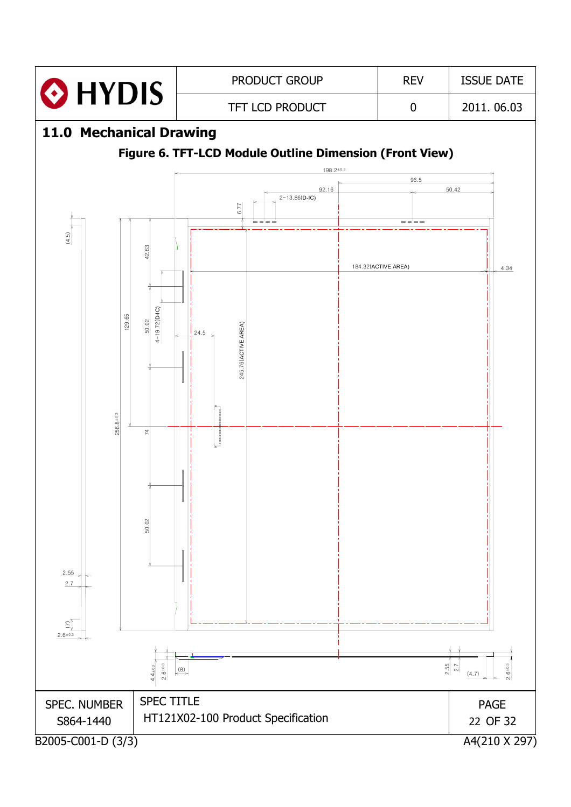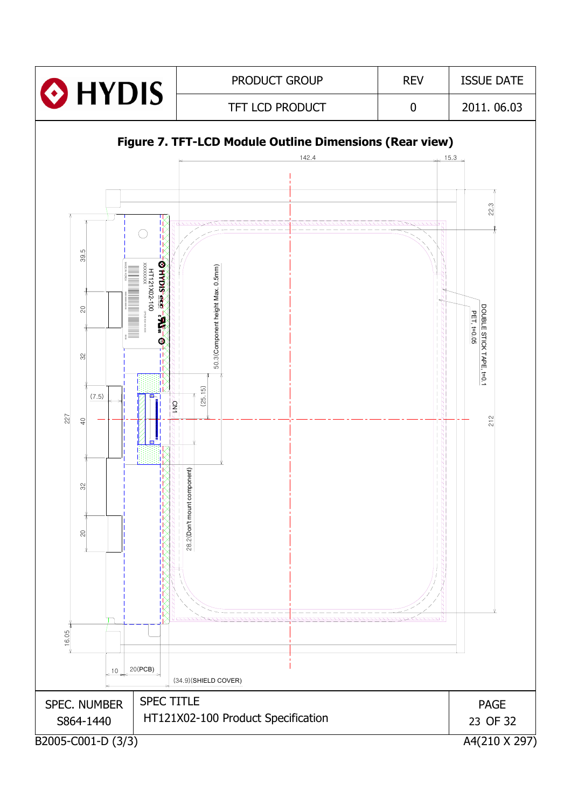![](_page_22_Figure_0.jpeg)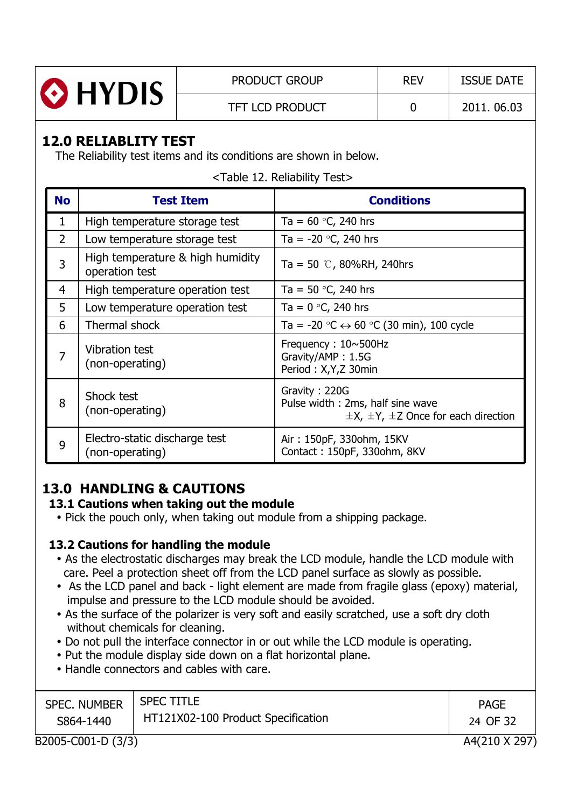![](_page_23_Picture_0.jpeg)

## **12.0 RELIABLITY TEST**

The Reliability test items and its conditions are shown in below.

<Table 12. Reliability Test>

| <b>No</b>      | <b>Test Item</b>                                   | <b>Conditions</b>                                                                                      |
|----------------|----------------------------------------------------|--------------------------------------------------------------------------------------------------------|
| 1              | High temperature storage test                      | Ta = $60$ °C, 240 hrs                                                                                  |
| $\overline{2}$ | Low temperature storage test                       | Ta = $-20$ °C, 240 hrs                                                                                 |
| 3              | High temperature & high humidity<br>operation test | Ta = 50 $\degree$ , 80%RH, 240hrs                                                                      |
| 4              | High temperature operation test                    | Ta = 50 $\degree$ C, 240 hrs                                                                           |
| 5              | Low temperature operation test                     | Ta = $0 °C$ , 240 hrs                                                                                  |
| 6              | Thermal shock                                      | Ta = -20 $\degree$ C $\leftrightarrow$ 60 $\degree$ C (30 min), 100 cycle                              |
| 7              | <b>Vibration test</b><br>(non-operating)           | Frequency: $10 \sim 500$ Hz<br>Gravity/AMP: 1.5G<br>Period: X, Y, Z 30min                              |
| 8              | Shock test<br>(non-operating)                      | Gravity: 220G<br>Pulse width: 2ms, half sine wave<br>$\pm$ X, $\pm$ Y, $\pm$ Z Once for each direction |
| 9              | Electro-static discharge test<br>(non-operating)   | Air: 150pF, 330ohm, 15KV<br>Contact: 150pF, 330ohm, 8KV                                                |

## **13.0 HANDLING & CAUTIONS**

## **13.1 Cautions when taking out the module**

• Pick the pouch only, when taking out module from a shipping package.

## **13.2 Cautions for handling the module**

- As the electrostatic discharges may break the LCD module, handle the LCD module with care. Peel a protection sheet off from the LCD panel surface as slowly as possible.
- As the LCD panel and back light element are made from fragile glass (epoxy) material, impulse and pressure to the LCD module should be avoided.
- As the surface of the polarizer is very soft and easily scratched, use a soft dry cloth without chemicals for cleaning.
- Do not pull the interface connector in or out while the LCD module is operating.
- Put the module display side down on a flat horizontal plane.
- Handle connectors and cables with care.

| <b>SPEC. NUMBER</b><br>S864-1440 | <b>SPEC TITLE</b><br>HT121X02-100 Product Specification | <b>PAGE</b><br>24 OF 32 |
|----------------------------------|---------------------------------------------------------|-------------------------|
| B2005-C001-D (3/3)               |                                                         | A4(210 X 297            |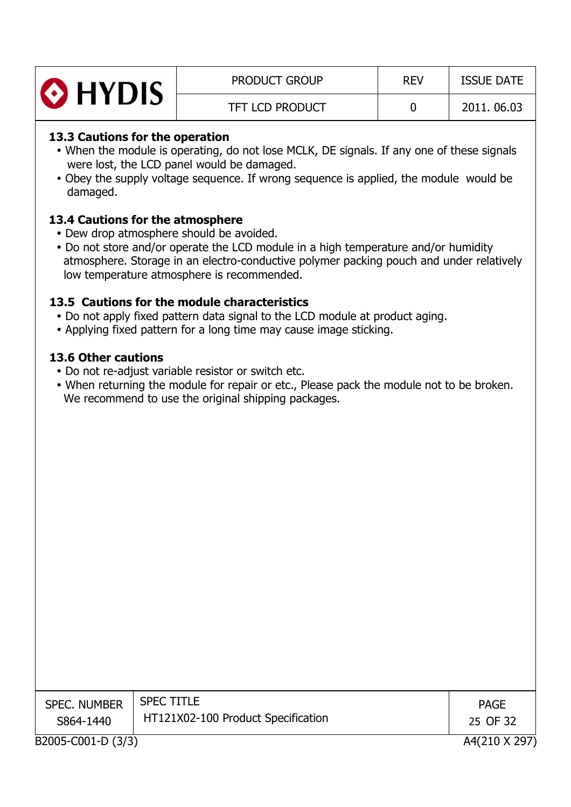| <b>O</b> HYDIS | <b>PRODUCT GROUP</b> | <b>REV</b> | <b>ISSUE DATE</b> |
|----------------|----------------------|------------|-------------------|
|                | TFT LCD PRODUCT      |            | 2011.06.03        |

#### **13.3 Cautions for the operation**

- When the module is operating, do not lose MCLK, DE signals. If any one of these signals were lost, the LCD panel would be damaged.
- Obey the supply voltage sequence. If wrong sequence is applied, the module would be damaged.

#### **13.4 Cautions for the atmosphere**

- Dew drop atmosphere should be avoided.
- Do not store and/or operate the LCD module in a high temperature and/or humidity atmosphere. Storage in an electro-conductive polymer packing pouch and under relatively low temperature atmosphere is recommended.

#### **13.5 Cautions for the module characteristics**

- Do not apply fixed pattern data signal to the LCD module at product aging.
- Applying fixed pattern for a long time may cause image sticking.

#### **13.6 Other cautions**

- Do not re-adjust variable resistor or switch etc.
- When returning the module for repair or etc., Please pack the module not to be broken. We recommend to use the original shipping packages.

| <b>SPEC. NUMBER</b><br>S864-1440 | <b>SPEC TITLE</b><br>HT121X02-100 Product Specification | <b>PAGE</b><br>25 OF 32 |
|----------------------------------|---------------------------------------------------------|-------------------------|
| B2005-C001-D (3/3)               |                                                         | A4(210 X 29)            |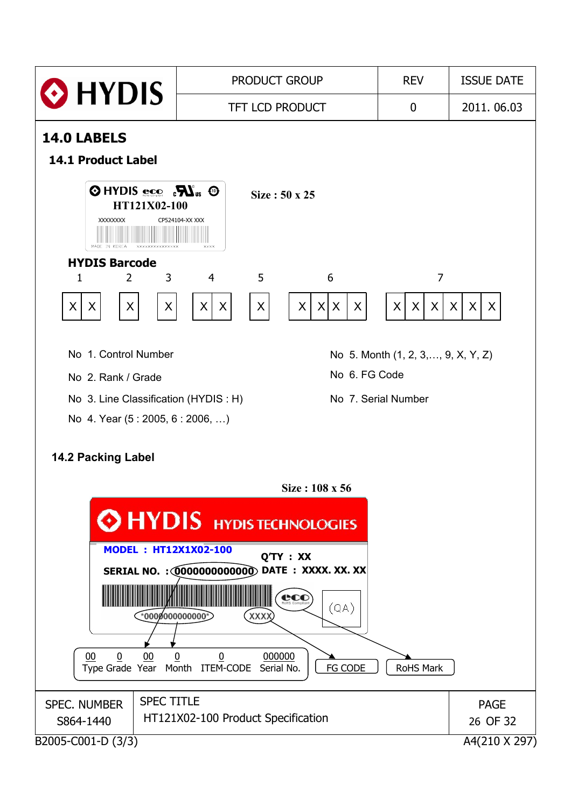![](_page_25_Figure_0.jpeg)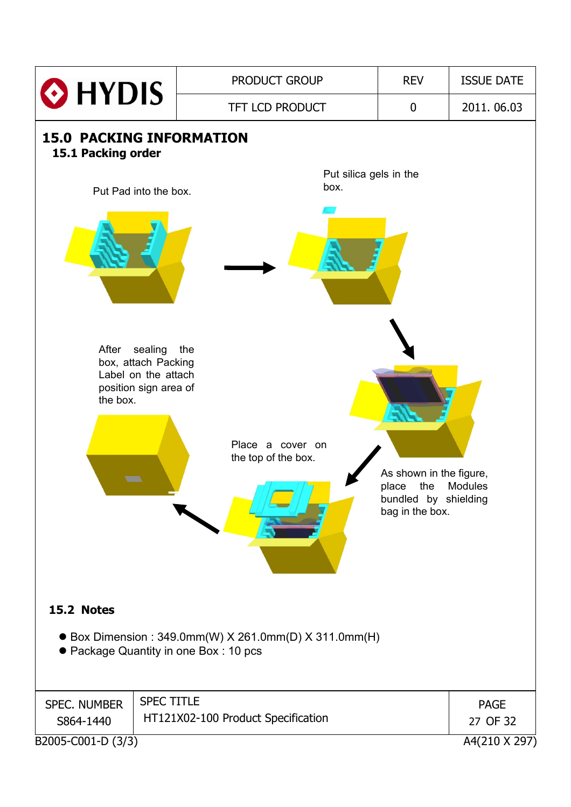![](_page_26_Figure_0.jpeg)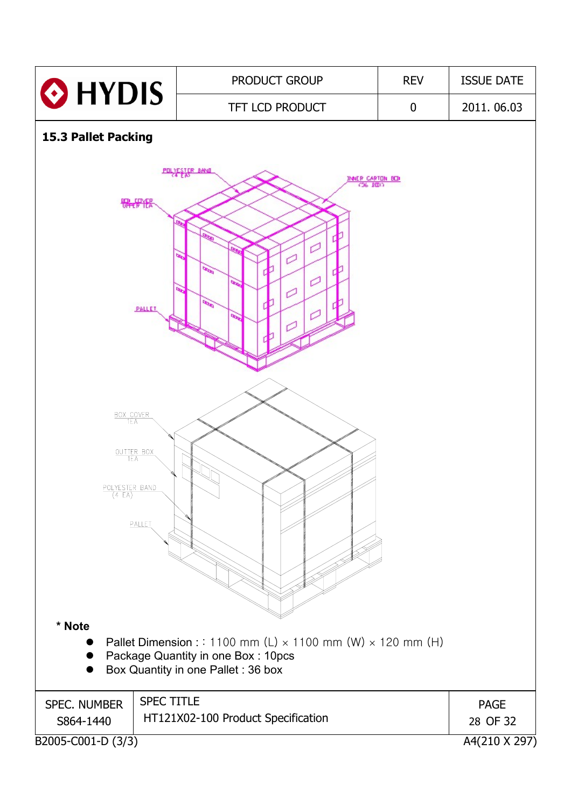![](_page_27_Figure_0.jpeg)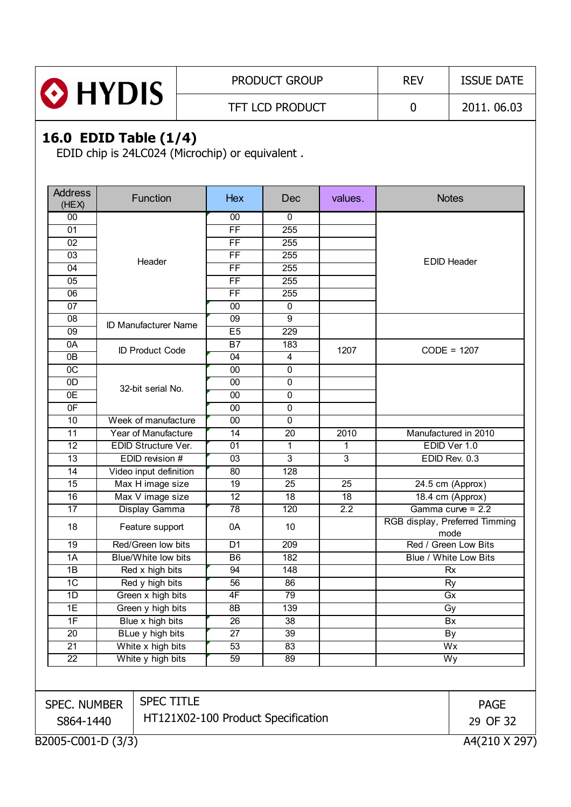|                | <b>PRODUCT GROUP</b>   | <b>REV</b> | <b>ISSUE DATE</b> |
|----------------|------------------------|------------|-------------------|
| <b>O</b> HYDIS | <b>TFT LCD PRODUCT</b> |            | 2011.06.03        |

## **16.0 EDID Table (1/4)**

EDID chip is 24LC024 (Microchip) or equivalent .

| <b>Address</b><br>(HEX)                         |  | Function                    | <b>Hex</b>      | Dec              | values.        | <b>Notes</b>                           |  |
|-------------------------------------------------|--|-----------------------------|-----------------|------------------|----------------|----------------------------------------|--|
| $00\,$                                          |  |                             | 00              | $\mathbf{0}$     |                |                                        |  |
| 01                                              |  |                             | $\overline{FF}$ | 255              |                |                                        |  |
| 02                                              |  |                             | FF              | 255              |                |                                        |  |
| 03                                              |  | Header                      | $\overline{FF}$ | 255              |                | <b>EDID Header</b>                     |  |
| 04                                              |  |                             | $\overline{FF}$ | 255              |                |                                        |  |
| 05                                              |  |                             | $\overline{FF}$ | 255              |                |                                        |  |
| $\overline{06}$                                 |  |                             | $\overline{FF}$ | 255              |                |                                        |  |
| 07                                              |  |                             | 00              | $\mathbf 0$      |                |                                        |  |
| 08                                              |  | <b>ID Manufacturer Name</b> | 09              | 9                |                |                                        |  |
| 09                                              |  |                             | E5              | 229              |                |                                        |  |
| 0A                                              |  | <b>ID Product Code</b>      | $\overline{B7}$ | 183              | 1207           | $CODE = 1207$                          |  |
| 0B                                              |  |                             | 04              | 4                |                |                                        |  |
| $\overline{OC}$                                 |  |                             | 00              | $\mathbf 0$      |                |                                        |  |
| 0D                                              |  | 32-bit serial No.           | 00              | $\pmb{0}$        |                |                                        |  |
| $\overline{OE}$                                 |  |                             | 00              | $\pmb{0}$        |                |                                        |  |
| 0 <sub>F</sub>                                  |  |                             | 00              | 0                |                |                                        |  |
| 10                                              |  | Week of manufacture         | $\overline{00}$ | $\overline{0}$   |                |                                        |  |
| 11                                              |  | Year of Manufacture         | 14              | 20               | 2010           | Manufactured in 2010                   |  |
| $\overline{12}$                                 |  | EDID Structure Ver.         | $\overline{01}$ | 1                | 1              | EDID Ver 1.0                           |  |
| 13                                              |  | EDID revision #             | 03              | $\overline{3}$   | $\overline{3}$ | EDID Rev. 0.3                          |  |
| 14                                              |  | Video input definition      | 80              | 128              |                |                                        |  |
| 15                                              |  | Max H image size            | 19              | 25               | 25             | 24.5 cm (Approx)                       |  |
| 16                                              |  | Max V image size            | $\overline{12}$ | $\overline{18}$  | 18             | 18.4 cm (Approx)                       |  |
| 17                                              |  | Display Gamma               | $\overline{78}$ | 120              | 2.2            | Gamma curve = 2.2                      |  |
| 18                                              |  | Feature support             | 0A              | 10               |                | RGB display, Preferred Timming<br>mode |  |
| $\overline{19}$                                 |  | Red/Green low bits          | $\overline{D1}$ | $\overline{209}$ |                | Red / Green Low Bits                   |  |
| 1A                                              |  | Blue/White low bits         | B <sub>6</sub>  | 182              |                | Blue / White Low Bits                  |  |
| 1B                                              |  | Red x high bits             | 94              | 148              |                | <b>Rx</b>                              |  |
| 1C                                              |  | Red y high bits             | 56              | 86               |                | <b>Ry</b>                              |  |
| 1D                                              |  | Green x high bits           | 4F              | 79               |                | Gx                                     |  |
| $\overline{1E}$                                 |  | Green y high bits           | 8B              | 139              |                | Gy                                     |  |
| $\overline{1}$ F                                |  | Blue x high bits            | $\overline{26}$ | 38               |                | Bx                                     |  |
| 20                                              |  | BLue y high bits            | 27              | 39               |                | By                                     |  |
| 21                                              |  | White x high bits           | 53              | 83               |                | Wx                                     |  |
| 22                                              |  | White y high bits           | 59              | 89               |                | Wy                                     |  |
|                                                 |  |                             |                 |                  |                |                                        |  |
| SPEC. NUMBER                                    |  | <b>SPEC TITLE</b>           |                 |                  |                | <b>PAGE</b>                            |  |
| HT121X02-100 Product Specification<br>S864-1440 |  |                             |                 |                  |                | 29 OF 32                               |  |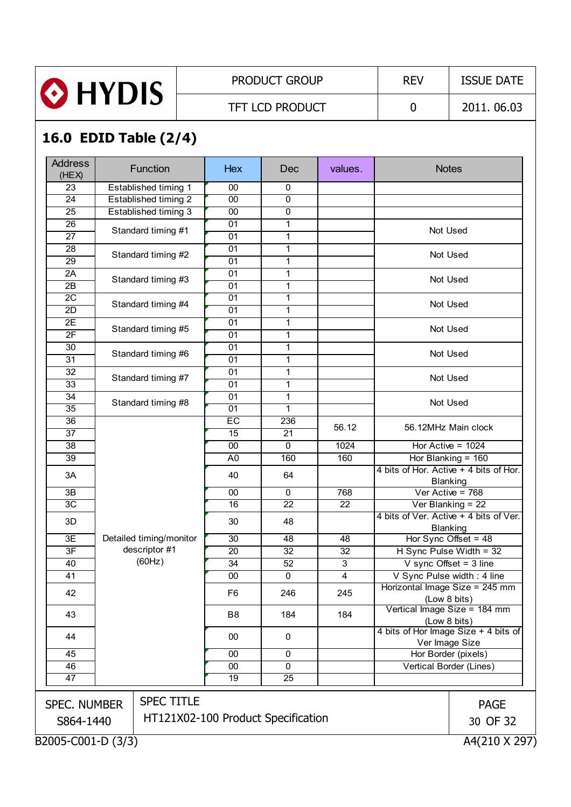![](_page_29_Picture_0.jpeg)

PRODUCT GROUP REV | ISSUE DATE

TFT LCD PRODUCT 0 2011. 06.03

# **16.0 EDID Table (2/4)**

| <b>Address</b><br>(HEX) |  | Function                           | <b>Hex</b>      | Dec             | values.         | <b>Notes</b>                                           |               |
|-------------------------|--|------------------------------------|-----------------|-----------------|-----------------|--------------------------------------------------------|---------------|
| $\overline{23}$         |  | Established timing 1               | 00              | $\mathbf 0$     |                 |                                                        |               |
| 24                      |  | Established timing 2               | 00              | 0               |                 |                                                        |               |
| 25                      |  | Established timing 3               | 00              | $\mathbf 0$     |                 |                                                        |               |
| $\overline{26}$         |  | Standard timing #1                 | 01              | $\mathbf{1}$    |                 | Not Used                                               |               |
| $\overline{27}$         |  |                                    | 01              | 1               |                 |                                                        |               |
| 28                      |  | Standard timing #2                 | 01              | 1               |                 | Not Used                                               |               |
| 29                      |  |                                    | 01              | $\mathbf{1}$    |                 |                                                        |               |
| 2A                      |  | Standard timing #3                 | 01              | 1               |                 | Not Used                                               |               |
| 2B                      |  |                                    | 01              | 1               |                 |                                                        |               |
| $\overline{2C}$         |  | Standard timing #4                 | 01              | 1               |                 | Not Used                                               |               |
| 2D                      |  |                                    | $\overline{01}$ | $\mathbf{1}$    |                 |                                                        |               |
| $\overline{2E}$         |  | Standard timing #5                 | 01              | 1               |                 | Not Used                                               |               |
| 2F                      |  |                                    | $\overline{01}$ | 1               |                 |                                                        |               |
| 30<br>31                |  | Standard timing #6                 | 01<br>01        | 1<br>1          |                 | Not Used                                               |               |
| 32                      |  |                                    | 01              | 1               |                 |                                                        |               |
| 33                      |  | Standard timing #7                 | $\overline{01}$ | 1               |                 | Not Used                                               |               |
| 34                      |  |                                    | 01              | 1               |                 |                                                        |               |
| $\overline{35}$         |  | Standard timing #8                 | 01              | 1               |                 | Not Used                                               |               |
| $\overline{36}$         |  |                                    | EC              | 236             |                 |                                                        |               |
| $\overline{37}$         |  |                                    | 15              | 21              | 56.12           | 56.12MHz Main clock                                    |               |
| $\overline{38}$         |  |                                    | 00              | $\mathbf 0$     | 1024            | Hor Active = $1024$                                    |               |
| 39                      |  |                                    | A <sub>0</sub>  | 160             | 160             | Hor Blanking = 160                                     |               |
| 3A                      |  |                                    | 40              | 64              |                 | 4 bits of Hor. Active + 4 bits of Hor.                 |               |
| 3B                      |  |                                    | 00              | $\mathbf 0$     | 768             | Blanking<br>Ver Active = 768                           |               |
| 3C                      |  |                                    | $\overline{16}$ | $\overline{22}$ | $\overline{22}$ | Ver Blanking = $22$                                    |               |
|                         |  |                                    |                 |                 |                 | 4 bits of Ver. Active + 4 bits of Ver.                 |               |
| 3D                      |  |                                    | 30              | 48              |                 | Blanking                                               |               |
| 3E                      |  | Detailed timing/monitor            | 30              | 48              | 48              | Hor Sync Offset = $48$                                 |               |
| 3F                      |  | descriptor #1                      | 20              | 32              | 32              | H Sync Pulse Width = 32                                |               |
| 40                      |  | (60Hz)                             | $\overline{34}$ | 52              | 3               | $V$ sync Offset = 3 line                               |               |
| 41                      |  |                                    | 00              | $\mathbf 0$     | 4               | V Sync Pulse width: 4 line                             |               |
| 42                      |  |                                    | F <sub>6</sub>  | 246             | 245             | Horizontal Image Size = 245 mm<br>(Low 8 bits)         |               |
| 43                      |  |                                    | B8              | 184             | 184             | Vertical Image Size = 184 mm<br>(Low 8 bits)           |               |
| 44                      |  |                                    | 00              | 0               |                 | 4 bits of Hor Image Size + 4 bits of<br>Ver Image Size |               |
| 45                      |  |                                    | 00              | 0               |                 | Hor Border (pixels)                                    |               |
| 46                      |  |                                    | 00              | $\mathbf{0}$    |                 | Vertical Border (Lines)                                |               |
| $\overline{47}$         |  |                                    | $\overline{19}$ | 25              |                 |                                                        |               |
|                         |  |                                    |                 |                 |                 |                                                        |               |
| <b>SPEC. NUMBER</b>     |  | <b>SPEC TITLE</b>                  |                 |                 |                 |                                                        | <b>PAGE</b>   |
| S864-1440               |  | HT121X02-100 Product Specification |                 |                 |                 |                                                        | 30 OF 32      |
| B2005-C001-D (3/3)      |  |                                    |                 |                 |                 |                                                        | A4(210 X 297) |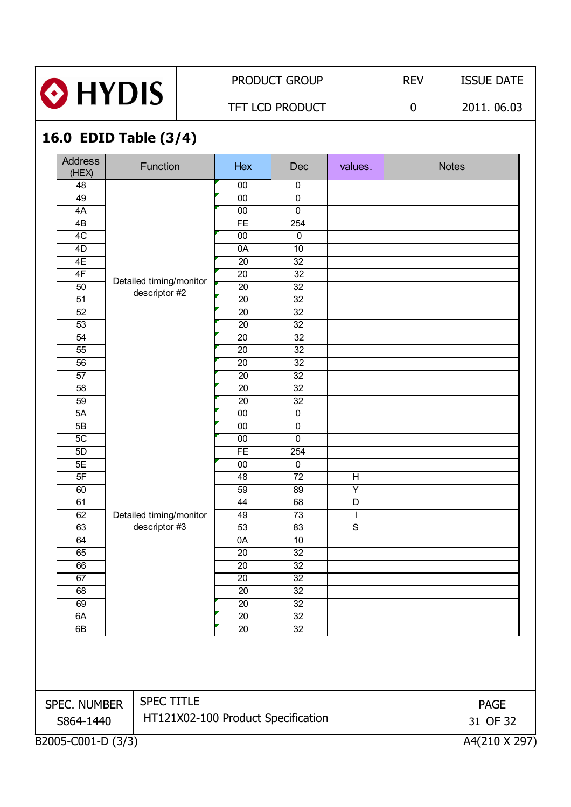![](_page_30_Picture_0.jpeg)

## PRODUCT GROUP REV | ISSUE DATE

TFT LCD PRODUCT 0 2011. 06.03

## **16.0 EDID Table (3/4)**

| (HEX)<br>48     | Function                | Hex             | Dec                   | values.                 | <b>Notes</b> |
|-----------------|-------------------------|-----------------|-----------------------|-------------------------|--------------|
|                 |                         | $00\,$          | $\pmb{0}$             |                         |              |
| 49              |                         | $\overline{00}$ | $\overline{0}$        |                         |              |
| 4A              |                         | $00\,$          | $\pmb{0}$             |                         |              |
| $\overline{AB}$ |                         | FE              | 254                   |                         |              |
| 4C              |                         | 00              | $\pmb{0}$             |                         |              |
| 4D              |                         | 0A              | 10                    |                         |              |
| 4E              |                         | 20              | 32                    |                         |              |
| 4F              | Detailed timing/monitor | 20              | 32                    |                         |              |
| 50              | descriptor #2           | $\overline{20}$ | $\overline{32}$       |                         |              |
| 51              |                         | 20              | $\overline{32}$       |                         |              |
| 52              |                         | 20              | $\overline{32}$       |                         |              |
| 53              |                         | $\overline{20}$ | 32                    |                         |              |
| 54              |                         | $\overline{20}$ | $\overline{32}$       |                         |              |
| 55              |                         | 20              | $\overline{32}$       |                         |              |
| 56              |                         | $\overline{20}$ | 32                    |                         |              |
| $\overline{57}$ |                         | $\overline{20}$ | $\overline{32}$       |                         |              |
| $\overline{58}$ |                         | $\overline{20}$ | $\overline{32}$       |                         |              |
| 59              |                         | $\overline{20}$ | 32                    |                         |              |
| 5A              |                         | $00\,$          | $\overline{0}$        |                         |              |
| 5B              |                         | $00\,$          | $\pmb{0}$             |                         |              |
| 5C<br>5D        |                         | $00\,$<br>FE    | $\overline{0}$<br>254 |                         |              |
| 5E              |                         | $\overline{00}$ | $\overline{0}$        |                         |              |
| 5F              |                         | 48              | $\overline{72}$       | $\overline{H}$          |              |
| 60              |                         | 59              | 89                    | Y                       |              |
| 61              |                         | 44              | 68                    | $\overline{\mathsf{D}}$ |              |
| 62              | Detailed timing/monitor | 49              | 73                    | $\mathbf{I}$            |              |
| 63              | descriptor #3           | 53              | 83                    | $\overline{s}$          |              |
| 64              |                         | 0A              | 10                    |                         |              |
| 65              |                         | 20              | $\overline{32}$       |                         |              |
| 66              |                         | $\overline{20}$ | $\overline{32}$       |                         |              |
| 67              |                         | $\overline{20}$ | $\overline{32}$       |                         |              |
| 68              |                         | $\overline{20}$ | $\overline{32}$       |                         |              |
| 69              |                         | 20              | 32                    |                         |              |
| 6A              |                         | $\overline{20}$ | 32                    |                         |              |
| 6B              |                         | $20\,$          | 32                    |                         |              |